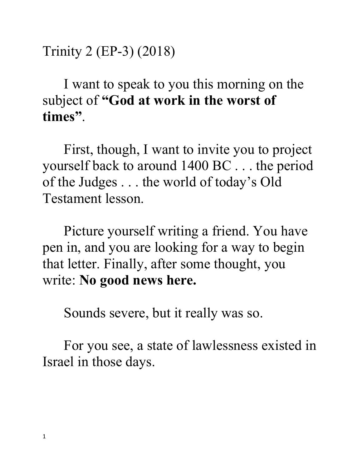Trinity 2 (EP-3) (2018)

I want to speak to you this morning on the subject of **"God at work in the worst of times"**.

First, though, I want to invite you to project yourself back to around 1400 BC . . . the period of the Judges . . . the world of today's Old Testament lesson.

Picture yourself writing a friend. You have pen in, and you are looking for a way to begin that letter. Finally, after some thought, you write: **No good news here.**

Sounds severe, but it really was so.

For you see, a state of lawlessness existed in Israel in those days.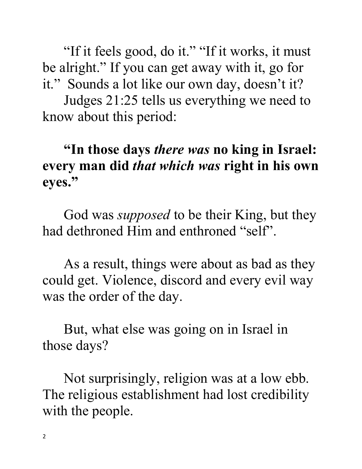"If it feels good, do it." "If it works, it must be alright." If you can get away with it, go for it." Sounds a lot like our own day, doesn't it?

Judges 21:25 tells us everything we need to know about this period:

## **"In those days** *there was* **no king in Israel: every man did** *that which was* **right in his own eyes."**

God was *supposed* to be their King, but they had dethroned Him and enthroned "self".

As a result, things were about as bad as they could get. Violence, discord and every evil way was the order of the day.

But, what else was going on in Israel in those days?

Not surprisingly, religion was at a low ebb. The religious establishment had lost credibility with the people.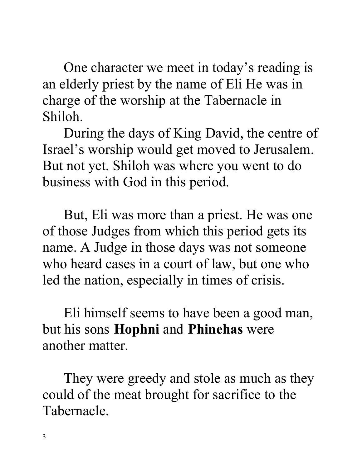One character we meet in today's reading is an elderly priest by the name of Eli He was in charge of the worship at the Tabernacle in Shiloh.

During the days of King David, the centre of Israel's worship would get moved to Jerusalem. But not yet. Shiloh was where you went to do business with God in this period.

But, Eli was more than a priest. He was one of those Judges from which this period gets its name. A Judge in those days was not someone who heard cases in a court of law, but one who led the nation, especially in times of crisis.

Eli himself seems to have been a good man, but his sons **Hophni** and **Phinehas** were another matter.

They were greedy and stole as much as they could of the meat brought for sacrifice to the Tabernacle.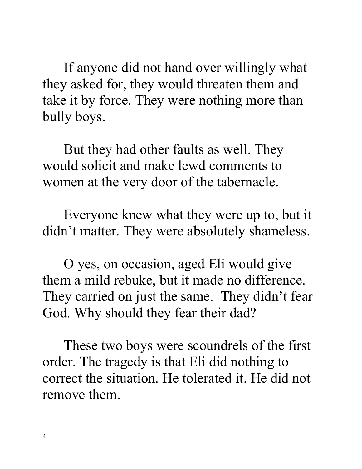If anyone did not hand over willingly what they asked for, they would threaten them and take it by force. They were nothing more than bully boys.

But they had other faults as well. They would solicit and make lewd comments to women at the very door of the tabernacle.

Everyone knew what they were up to, but it didn't matter. They were absolutely shameless.

O yes, on occasion, aged Eli would give them a mild rebuke, but it made no difference. They carried on just the same. They didn't fear God. Why should they fear their dad?

These two boys were scoundrels of the first order. The tragedy is that Eli did nothing to correct the situation. He tolerated it. He did not remove them.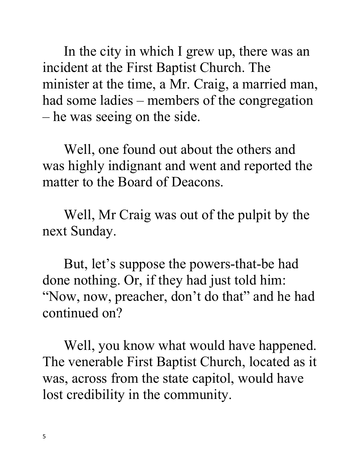In the city in which I grew up, there was an incident at the First Baptist Church. The minister at the time, a Mr. Craig, a married man, had some ladies – members of the congregation – he was seeing on the side.

Well, one found out about the others and was highly indignant and went and reported the matter to the Board of Deacons.

Well, Mr Craig was out of the pulpit by the next Sunday.

But, let's suppose the powers-that-be had done nothing. Or, if they had just told him: "Now, now, preacher, don't do that" and he had continued on?

Well, you know what would have happened. The venerable First Baptist Church, located as it was, across from the state capitol, would have lost credibility in the community.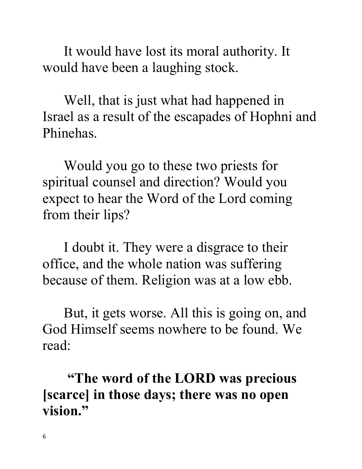It would have lost its moral authority. It would have been a laughing stock.

Well, that is just what had happened in Israel as a result of the escapades of Hophni and Phinehas.

Would you go to these two priests for spiritual counsel and direction? Would you expect to hear the Word of the Lord coming from their lips?

I doubt it. They were a disgrace to their office, and the whole nation was suffering because of them. Religion was at a low ebb.

But, it gets worse. All this is going on, and God Himself seems nowhere to be found. We read:

**"The word of the LORD was precious [scarce] in those days; there was no open vision."**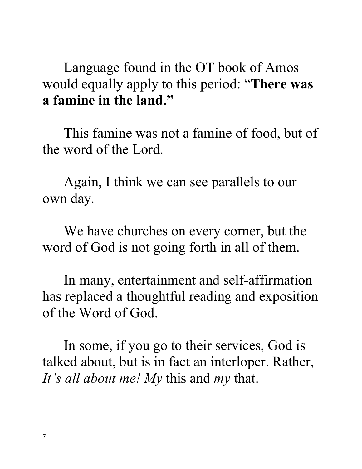Language found in the OT book of Amos would equally apply to this period: "**There was a famine in the land."**

This famine was not a famine of food, but of the word of the Lord.

Again, I think we can see parallels to our own day.

We have churches on every corner, but the word of God is not going forth in all of them.

In many, entertainment and self-affirmation has replaced a thoughtful reading and exposition of the Word of God.

In some, if you go to their services, God is talked about, but is in fact an interloper. Rather, *It's all about me! My* this and *my* that.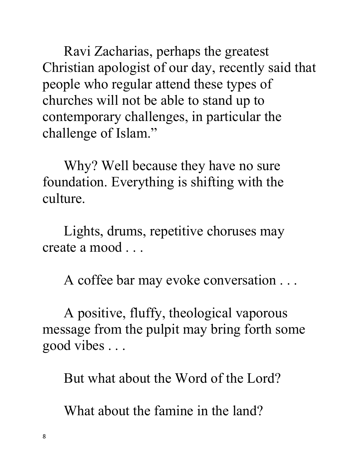Ravi Zacharias, perhaps the greatest Christian apologist of our day, recently said that people who regular attend these types of churches will not be able to stand up to contemporary challenges, in particular the challenge of Islam."

Why? Well because they have no sure foundation. Everything is shifting with the culture.

Lights, drums, repetitive choruses may create a mood . . .

A coffee bar may evoke conversation . . .

A positive, fluffy, theological vaporous message from the pulpit may bring forth some good vibes . . .

But what about the Word of the Lord?

What about the famine in the land?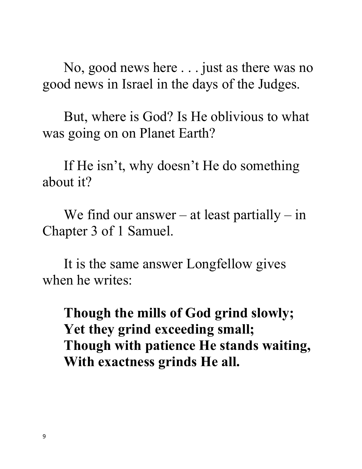No, good news here . . . just as there was no good news in Israel in the days of the Judges.

But, where is God? Is He oblivious to what was going on on Planet Earth?

If He isn't, why doesn't He do something about it?

We find our answer – at least partially – in Chapter 3 of 1 Samuel.

It is the same answer Longfellow gives when he writes:

**Though the mills of God grind slowly; Yet they grind exceeding small; Though with patience He stands waiting, With exactness grinds He all.**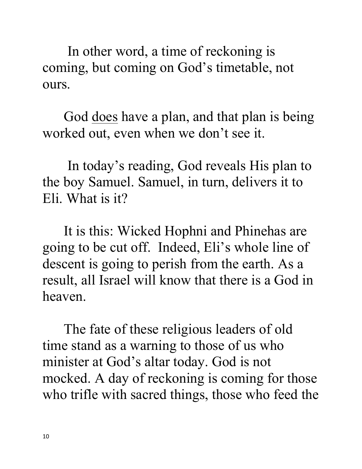In other word, a time of reckoning is coming, but coming on God's timetable, not ours.

God <u>does</u> have a plan, and that plan is being worked out, even when we don't see it.

 In today's reading, God reveals His plan to the boy Samuel. Samuel, in turn, delivers it to Eli. What is it?

It is this: Wicked Hophni and Phinehas are going to be cut off. Indeed, Eli's whole line of descent is going to perish from the earth. As a result, all Israel will know that there is a God in heaven.

The fate of these religious leaders of old time stand as a warning to those of us who minister at God's altar today. God is not mocked. A day of reckoning is coming for those who trifle with sacred things, those who feed the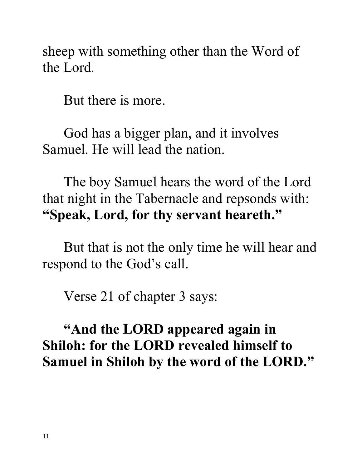sheep with something other than the Word of the Lord.

But there is more.

God has a bigger plan, and it involves Samuel. He will lead the nation.

The boy Samuel hears the word of the Lord that night in the Tabernacle and repsonds with: **"Speak, Lord, for thy servant heareth."**

But that is not the only time he will hear and respond to the God's call.

Verse 21 of chapter 3 says:

## **"And the LORD appeared again in Shiloh: for the LORD revealed himself to Samuel in Shiloh by the word of the LORD."**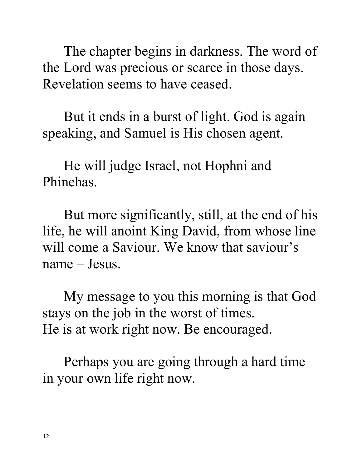The chapter begins in darkness. The word of the Lord was precious or scarce in those days. Revelation seems to have ceased.

But it ends in a burst of light. God is again speaking, and Samuel is His chosen agent.

He will judge Israel, not Hophni and Phinehas.

But more significantly, still, at the end of his life, he will anoint King David, from whose line will come a Saviour. We know that saviour's name – Jesus.

My message to you this morning is that God stays on the job in the worst of times. He is at work right now. Be encouraged.

Perhaps you are going through a hard time in your own life right now.